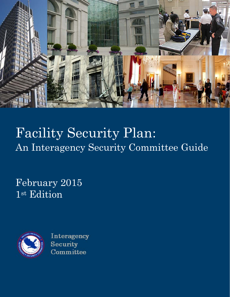

# Facility Security Plan: An Interagency Security Committee Guide

February 2015 1st Edition



Interagency **Security** Committee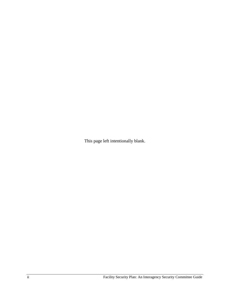This page left intentionally blank.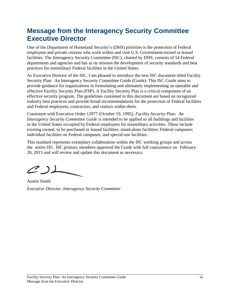# <span id="page-2-0"></span>**Message from the Interagency Security Committee Executive Director**

One of the Department of Homeland Security's (DHS) priorities is the protection of Federal employees and private citizens who work within and visit U.S. Government-owned or leased facilities. The Interagency Security Committee (ISC), chaired by DHS, consists of 54 Federal departments and agencies and has as its mission the development of security standards and best practices for nonmilitary Federal facilities in the United States.

As Executive Director of the ISC, I am pleased to introduce the new ISC document titled Facility Security Plan: An Interagency Security Committee Guide (Guide). This ISC Guide aims to provide guidance for organizations in formulating and ultimately implementing an operable and effective Facility Security Plan (FSP). A Facility Security Plan is a critical component of an effective security program. The guidelines contained in this document are based on recognized industry best practices and provide broad recommendations for the protection of Federal facilities and Federal employees, contractors, and visitors within them.

Consistent with Executive Order 12977 (October 19, 1995), *Facility Security Plan: An Interagency Security Committee Guide* is intended to be applied to all buildings and facilities in the United States occupied by Federal employees for nonmilitary activities. These include existing owned, to be purchased or leased facilities; stand-alone facilities; Federal campuses; individual facilities on Federal campuses; and special-use facilities.

This standard represents exemplary collaboration within the ISC working groups and across the entire ISC. ISC primary members approved the Guide with full concurrence on February 20, 2015 and will review and update this document as necessary.

 $C$ )

Austin Smith *Executive Director, Interagency Security Committee*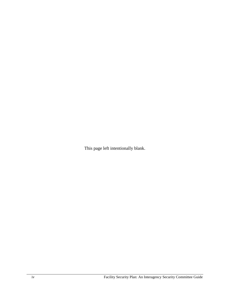This page left intentionally blank.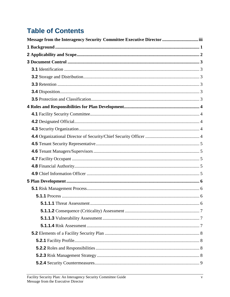# **Table of Contents**

| Message from the Interagency Security Committee Executive Director  iii |  |
|-------------------------------------------------------------------------|--|
|                                                                         |  |
|                                                                         |  |
|                                                                         |  |
|                                                                         |  |
|                                                                         |  |
|                                                                         |  |
|                                                                         |  |
|                                                                         |  |
|                                                                         |  |
|                                                                         |  |
|                                                                         |  |
|                                                                         |  |
|                                                                         |  |
|                                                                         |  |
|                                                                         |  |
|                                                                         |  |
|                                                                         |  |
|                                                                         |  |
|                                                                         |  |
|                                                                         |  |
|                                                                         |  |
|                                                                         |  |
|                                                                         |  |
|                                                                         |  |
|                                                                         |  |
|                                                                         |  |
|                                                                         |  |
|                                                                         |  |
|                                                                         |  |
|                                                                         |  |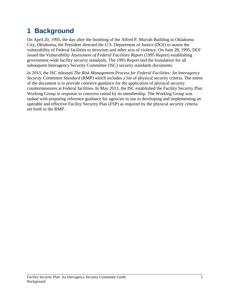# <span id="page-6-0"></span>**1 Background**

On April 20, 1995, the day after the bombing of the Alfred P. Murrah Building in Oklahoma City, Oklahoma, the President directed the U.S. Department of Justice (DOJ) to assess the vulnerability of Federal facilities to terrorism and other acts of violence. On June 28, 1995, DOJ issued the *Vulnerability Assessment of Federal Facilities Report* (1995 Report) establishing government-wide facility security standards. The 1995 Report laid the foundation for all subsequent Interagency Security Committee (ISC) security standards documents.

In 2013, the ISC released *The Risk Management Process for Federal Facilities: An Interagency Security Committee Standard* (RMP) which includes a list of physical security criteria. The intent of the document is to provide cohesive guidance for the application of physical security countermeasures at Federal facilities. In May 2013, the ISC established the Facility Security Plan Working Group in response to concerns raised by its membership. The Working Group was tasked with preparing reference guidance for agencies to use in developing and implementing an operable and effective Facility Security Plan (FSP) as required by the physical security criteria set forth in the RMP.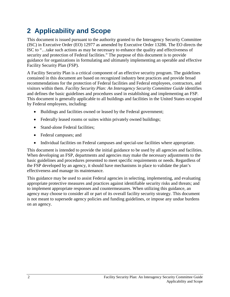# <span id="page-7-0"></span>**2 Applicability and Scope**

This document is issued pursuant to the authority granted to the Interagency Security Committee (ISC) in Executive Order (EO) 12977 as amended by Executive Order 13286. The EO directs the ISC to "…take such actions as may be necessary to enhance the quality and effectiveness of security and protection of Federal facilities." The purpose of this document is to provide guidance for organizations in formulating and ultimately implementing an operable and effective Facility Security Plan (FSP).

A Facility Security Plan is a critical component of an effective security program. The guidelines contained in this document are based on recognized industry best practices and provide broad recommendations for the protection of Federal facilities and Federal employees, contractors, and visitors within them. *Facility Security Plan: An Interagency Security Committee Guide* identifies and defines the basic guidelines and procedures used in establishing and implementing an FSP. This document is generally applicable to all buildings and facilities in the United States occupied by Federal employees, including:

- Buildings and facilities owned or leased by the Federal government;
- Federally leased rooms or suites within privately owned buildings;
- Stand-alone Federal facilities;
- Federal campuses; and
- Individual facilities on Federal campuses and special-use facilities where appropriate.

This document is intended to provide the initial guidance to be used by all agencies and facilities. When developing an FSP, departments and agencies may make the necessary adjustments to the basic guidelines and procedures presented to meet specific requirements or needs. Regardless of the FSP developed by an agency, it should have mechanisms in place to validate the plan's effectiveness and manage its maintenance.

This guidance may be used to assist Federal agencies in selecting, implementing, and evaluating appropriate protective measures and practices against identifiable security risks and threats; and to implement appropriate responses and countermeasures. When utilizing this guidance, an agency may choose to consider all or part of its overall facility security strategy. This document is not meant to supersede agency policies and funding guidelines, or impose any undue burdens on an agency.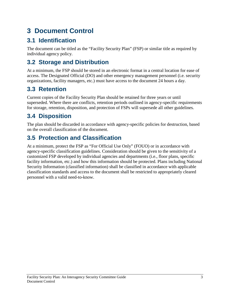# <span id="page-8-0"></span>**3 Document Control**

# <span id="page-8-1"></span>**3.1 Identification**

The document can be titled as the "Facility Security Plan" (FSP) or similar title as required by individual agency policy.

# <span id="page-8-2"></span>**3.2 Storage and Distribution**

At a minimum, the FSP should be stored in an electronic format in a central location for ease of access. The Designated Official (DO) and other emergency management personnel (i.e. security organizations, facility managers, etc.) must have access to the document 24 hours a day.

# <span id="page-8-3"></span>**3.3 Retention**

Current copies of the Facility Security Plan should be retained for three years or until superseded. Where there are conflicts, retention periods outlined in agency-specific requirements for storage, retention, disposition, and protection of FSPs will supersede all other guidelines.

# <span id="page-8-4"></span>**3.4 Disposition**

The plan should be discarded in accordance with agency-specific policies for destruction, based on the overall classification of the document.

# <span id="page-8-5"></span>**3.5 Protection and Classification**

At a minimum, protect the FSP as "For Official Use Only" (FOUO) or in accordance with agency-specific classification guidelines. Consideration should be given to the sensitivity of a customized FSP developed by individual agencies and departments (i.e., floor plans, specific facility information, etc.) and how this information should be protected. Plans including National Security Information (classified information) shall be classified in accordance with applicable classification standards and access to the document shall be restricted to appropriately cleared personnel with a valid need-to-know.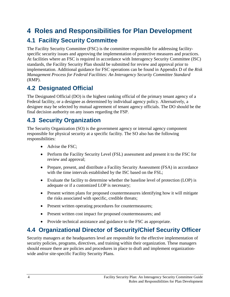# <span id="page-9-0"></span>**4 Roles and Responsibilities for Plan Development**

### <span id="page-9-1"></span>**4.1 Facility Security Committee**

The Facility Security Committee (FSC) is the committee responsible for addressing facilityspecific security issues and approving the implementation of protective measures and practices. At facilities where an FSC is required in accordance with Interagency Security Committee (ISC) standards, the Facility Security Plan should be submitted for review and approval prior to implementation. Additional guidance for FSC operations can be found in Appendix D of the *Risk Management Process for Federal Facilities: An Interagency Security Committee Standard* (RMP).

## <span id="page-9-2"></span>**4.2 Designated Official**

The Designated Official (DO) is the highest ranking official of the primary tenant agency of a Federal facility, or a designee as determined by individual agency policy. Alternatively, a designee may be selected by mutual agreement of tenant agency officials. The DO should be the final decision authority on any issues regarding the FSP.

## <span id="page-9-3"></span>**4.3 Security Organization**

The Security Organization (SO) is the government agency or internal agency component responsible for physical security at a specific facility. The SO also has the following responsibilities:

- Advise the FSC;
- Perform the Facility Security Level (FSL) assessment and present it to the FSC for review and approval;
- Prepare, present, and distribute a Facility Security Assessment (FSA) in accordance with the time intervals established by the ISC based on the FSL;
- Evaluate the facility to determine whether the baseline level of protection (LOP) is adequate or if a customized LOP is necessary;
- Present written plans for proposed countermeasures identifying how it will mitigate the risks associated with specific, credible threats;
- Present written operating procedures for countermeasures;
- Present written cost impact for proposed countermeasures; and
- Provide technical assistance and guidance to the FSC as appropriate.

### <span id="page-9-4"></span>**4.4 Organizational Director of Security/Chief Security Officer**

Security managers at the headquarters level are responsible for the effective implementation of security policies, programs, directives, and training within their organization. These managers should ensure there are policies and procedures in place to draft and implement organizationwide and/or site-specific Facility Security Plans.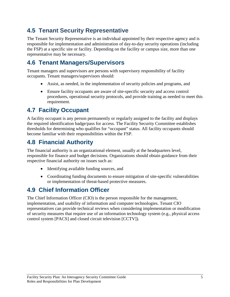### <span id="page-10-0"></span>**4.5 Tenant Security Representative**

The Tenant Security Representative is an individual appointed by their respective agency and is responsible for implementation and administration of day-to-day security operations (including the FSP) at a specific site or facility. Depending on the facility or campus size, more than one representative may be necessary.

### <span id="page-10-1"></span>**4.6 Tenant Managers/Supervisors**

Tenant managers and supervisors are persons with supervisory responsibility of facility occupants. Tenant managers/supervisors should:

- Assist, as needed, in the implementation of security policies and programs, and
- Ensure facility occupants are aware of site-specific security and access control procedures, operational security protocols, and provide training as needed to meet this requirement.

### <span id="page-10-2"></span>**4.7 Facility Occupant**

A facility occupant is any person permanently or regularly assigned to the facility and displays the required identification badge/pass for access. The Facility Security Committee establishes thresholds for determining who qualifies for "occupant" status. All facility occupants should become familiar with their responsibilities within the FSP.

### <span id="page-10-3"></span>**4.8 Financial Authority**

The financial authority is an organizational element, usually at the headquarters level, responsible for finance and budget decisions. Organizations should obtain guidance from their respective financial authority on issues such as:

- Identifying available funding sources, and
- Coordinating funding documents to ensure mitigation of site-specific vulnerabilities or implementation of threat-based protective measures.

### <span id="page-10-4"></span>**4.9 Chief Information Officer**

The Chief Information Officer (CIO) is the person responsible for the management, implementation, and usability of information and computer technologies. Tenant CIO representatives can provide technical reviews when considering implementation or modification of security measures that require use of an information technology system (e.g., physical access control system [PACS] and closed circuit television [CCTV]).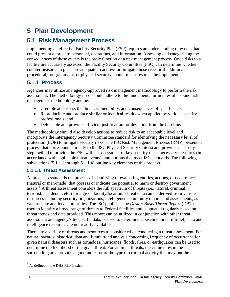# <span id="page-11-0"></span>**5 Plan Development**

### <span id="page-11-1"></span>**5.1 Risk Management Process**

Implementing an effective Facility Security Plan (FSP) requires an understanding of events that could present a threat to personnel, operations, and information. Assessing and categorizing the consequences of these events is the basic function of a risk management process. Once risks to a facility are accurately assessed, the Facility Security Committee (FSC) can determine whether countermeasures in place are adequate to address or mitigate those risks or if additional procedural, programmatic, or physical security countermeasures must be implemented.

#### <span id="page-11-2"></span>**5.1.1 Process**

Agencies may utilize any agency-approved risk management methodology to perform the risk assessment. The methodology used should adhere to the fundamental principles of a sound risk management methodology and be:

- Credible and assess the threat, vulnerability, and consequences of specific acts;
- Reproducible and produce similar or identical results when applied by various security professionals; and
- Defensible and provide sufficient justification for deviation from the baseline.

The methodology should also develop actions to reduce risk to an acceptable level and incorporate the Interagency Security Committee standard for identifying the necessary level of protection (LOP) to mitigate security risks. The ISC Risk Management Process (RMP) presents a process that corresponds directly to the ISC Physical Security Criteria and provides a step-bystep method to provide the FSC with an assessment of key security risks, necessary measures (in accordance with applicable threat events), and options that meet ISC standards. The following sub-sections (5.1.1.1 through 5.1.1.4) outline key elements of this process.

#### <span id="page-11-3"></span>**5.1.1.1 Threat Assessment**

A threat assessment is the process of identifying or evaluating entities, actions, or occurrences (natural or man-made) that possess or indicate the potential to harm or destroy government assets.<sup>[1](#page-11-4)</sup> A threat assessment considers the full spectrum of threats (i.e., natural, criminal, terrorist, accidental, etc.) for a given facility/location. Threat data can be derived from various resources including security organizations, intelligence community reports and assessments, as well as state and local authorities. The ISC publishes the *Design-Basis Threat Report* (DBT) used to identify a broad range of threats to Federal facilities and is updated regularly based on threat trends and data provided. This report can be utilized in conjunction with other threat assessment and agency/site-specific data, or used to determine a baseline threat if timely data and intelligence resources are not readily available.

There are a variety of threats and resources to consider when conducting a threat assessment. For natural hazards, historical data and future trend analysis concerning frequency of occurrence for given natural disasters such as tornadoes, hurricanes, floods, fires, or earthquakes can be used to determine the likelihood of the given threat. For criminal threats, the crime rates in the surrounding area provide a good indicator of the type of criminal activity that may put the

<span id="page-11-4"></span> $<sup>1</sup>$  As defined in the DHS Risk Lexicon</sup>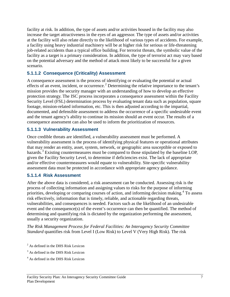facility at risk. In addition, the type of assets and/or activities housed in the facility may also increase the target attractiveness in the eyes of an aggressor. The type of assets and/or activities at the facility will also relate directly to the likelihood of various types of accidents. For example, a facility using heavy industrial machinery will be at higher risk for serious or life-threatening job-related accidents than a typical office building. For terrorist threats, the symbolic value of the facility as a target is a primary consideration. In addition, the type of terrorist act may vary based on the potential adversary and the method of attack most likely to be successful for a given scenario.

#### <span id="page-12-0"></span>**5.1.1.2 Consequence (Criticality) Assessment**

A consequence assessment is the process of identifying or evaluating the potential or actual effects of an event, incident, or occurrence.<sup>[2](#page-12-3)</sup> Determining the relative importance to the tenant's mission provides the security manager with an understanding of how to develop an effective protection strategy. The ISC process incorporates a consequence assessment within the Facility Security Level (FSL) determination process by evaluating tenant data such as population, square footage, mission-related information, etc. This is then adjusted according to the impartial, documented, and defensible assessment to address the occurrence of a specific undesirable event and the tenant agency's ability to continue its mission should an event occur. The results of a consequence assessment can also be used to inform the prioritization of resources.

#### <span id="page-12-1"></span>**5.1.1.3 Vulnerability Assessment**

Once credible threats are identified, a vulnerability assessment must be performed. A vulnerability assessment is the process of identifying physical features or operational attributes that may render an entity, asset, system, network, or geographic area susceptible or exposed to hazards.<sup>[3](#page-12-4)</sup> Existing countermeasures must be compared to those stipulated by the baseline LOP, given the Facility Security Level, to determine if deficiencies exist. The lack of appropriate and/or effective countermeasures would equate to vulnerability. Site-specific vulnerability assessment data must be protected in accordance with appropriate agency guidance.

#### <span id="page-12-2"></span>**5.1.1.4 Risk Assessment**

After the above data is considered, a risk assessment can be conducted. Assessing risk is the process of collecting information and assigning values to risks for the purpose of informing priorities, developing or comparing courses of action, and informing decision making.<sup>[4](#page-12-5)</sup> To assess risk effectively, information that is timely, reliable, and actionable regarding threats, vulnerabilities, and consequences is needed. Factors such as the likelihood of an undesirable event and the consequence(s) of the event's occurrence can then be quantified. The method of determining and quantifying risk is dictated by the organization performing the assessment, usually a security organization.

*The Risk Management Process for Federal Facilities: An Interagency Security Committee Standard* quantifies risk from Level I (Low Risk) to Level V (Very High Risk). The risk

- <span id="page-12-3"></span><sup>2</sup> As defined in the DHS Risk Lexicon
- <span id="page-12-4"></span><sup>3</sup> As defined in the DHS Risk Lexicon
- <span id="page-12-5"></span><sup>4</sup> As defined in the DHS Risk Lexicon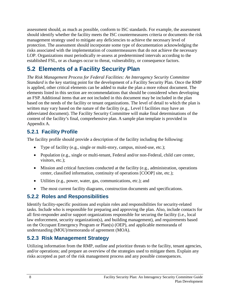assessment should, as much as possible, conform to ISC standards. For example, the assessment should identify whether the facility meets the ISC countermeasures criteria or documents the risk management strategy used to mitigate any deficiencies to achieve the necessary level of protection. The assessment should incorporate some type of documentation acknowledging the risks associated with the implementation of countermeasures that do not achieve the necessary LOP. Organizations must periodically re-assess at predetermined intervals according to the established FSL, or as changes occur to threat, vulnerability, or consequence factors.

## <span id="page-13-0"></span>**5.2 Elements of a Facility Security Plan**

*The Risk Management Process for Federal Facilities: An Interagency Security Committee Standard* is the key starting point for the development of a Facility Security Plan. Once the RMP is applied, other critical elements can be added to make the plan a more robust document. The elements listed in this section are recommendations that should be considered when developing an FSP. Additional items that are not included in this document may be included in the plan based on the needs of the facility or tenant organizations. The level of detail to which the plan is written may vary based on the nature of the facility (e.g., Level I facilities may have an abbreviated document). The Facility Security Committee will make final determinations of the content of the facility's final, comprehensive plan. A sample plan template is provided in Appendix A.

### <span id="page-13-1"></span>**5.2.1 Facility Profile**

The facility profile should provide a description of the facility including the following:

- Type of facility (e.g., single or multi-story, campus, mixed-use, etc.);
- Population (e.g., single or multi-tenant, Federal and/or non-Federal, child care center, visitors, etc.);
- Mission and critical functions conducted at the facility (e.g., administration, operations center, classified information, continuity of operations [COOP] site, etc.);
- Utilities (e.g., power, water, gas, communications, etc.); and
- The most current facility diagrams, construction documents and specifications.

### <span id="page-13-2"></span>**5.2.2 Roles and Responsibilities**

Identify facility-specific positions and explain roles and responsibilities for security-related tasks. Include who is responsible for preparing and approving the plan. Also, include contacts for all first-responder and/or support organizations responsible for securing the facility (i.e., local law enforcement, security organization(s), and building management), and requirements based on the Occupant Emergency Program or Plan(s) (OEP), and applicable memoranda of understanding (MOU)/memoranda of agreement (MOA).

### <span id="page-13-3"></span>**5.2.3 Risk Management Strategy**

Utilizing information from the RMP*,* outline and prioritize threats to the facility, tenant agencies, and/or operations; and prepare an overview of the strategies used to mitigate them. Explain any risks accepted as part of the risk management process and any possible consequences.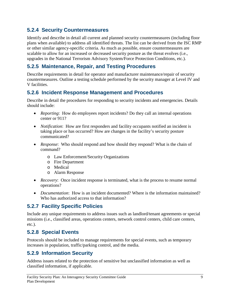#### <span id="page-14-0"></span>**5.2.4 Security Countermeasures**

Identify and describe in detail all current and planned security countermeasures (including floor plans when available) to address all identified threats. The list can be derived from the ISC RMP or other similar agency-specific criteria. As much as possible, ensure countermeasures are scalable to allow for an increased or decreased security posture as the threat evolves (i.e., upgrades in the National Terrorism Advisory System/Force Protection Conditions, etc.).

### <span id="page-14-1"></span>**5.2.5 Maintenance, Repair, and Testing Procedures**

Describe requirements in detail for operator and manufacturer maintenance/repair of security countermeasures. Outline a testing schedule performed by the security manager at Level IV and V facilities.

#### <span id="page-14-2"></span>**5.2.6 Incident Response Management and Procedures**

Describe in detail the procedures for responding to security incidents and emergencies. Details should include:

- *Reporting*: How do employees report incidents? Do they call an internal operations center or 911?
- *Notification*: How are first responders and facility occupants notified an incident is taking place or has occurred? How are changes in the facility's security posture communicated?
- *Response*: Who should respond and how should they respond? What is the chain of command?
	- o Law Enforcement/Security Organizations
	- o Fire Department
	- o Medical
	- o Alarm Response
- *Recovery:* Once incident response is terminated, what is the process to resume normal operations?
- *Documentation*: How is an incident documented? Where is the information maintained? Who has authorized access to that information?

### <span id="page-14-3"></span>**5.2.7 Facility Specific Policies**

Include any unique requirements to address issues such as landlord/tenant agreements or special missions (i.e., classified areas, operations centers, network control centers, child care centers, etc.).

#### <span id="page-14-4"></span>**5.2.8 Special Events**

Protocols should be included to manage requirements for special events, such as temporary increases in population, traffic/parking control, and the media.

#### <span id="page-14-5"></span>**5.2.9 Information Security**

Address issues related to the protection of sensitive but unclassified information as well as classified information, if applicable.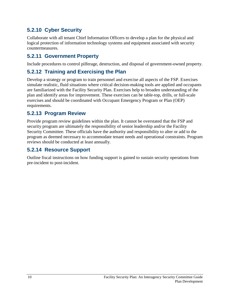#### <span id="page-15-0"></span>**5.2.10 Cyber Security**

Collaborate with all tenant Chief Information Officers to develop a plan for the physical and logical protection of information technology systems and equipment associated with security countermeasures.

#### <span id="page-15-1"></span>**5.2.11 Government Property**

Include procedures to control pilferage, destruction, and disposal of government-owned property.

### <span id="page-15-2"></span>**5.2.12 Training and Exercising the Plan**

Develop a strategy or program to train personnel and exercise all aspects of the FSP. Exercises simulate realistic, fluid situations where critical decision-making tools are applied and occupants are familiarized with the Facility Security Plan. Exercises help to broaden understanding of the plan and identify areas for improvement. These exercises can be table-top, drills, or full-scale exercises and should be coordinated with Occupant Emergency Program or Plan (OEP) requirements.

#### <span id="page-15-3"></span>**5.2.13 Program Review**

Provide program review guidelines within the plan. It cannot be overstated that the FSP and security program are ultimately the responsibility of senior leadership and/or the Facility Security Committee. These officials have the authority and responsibility to alter or add to the program as deemed necessary to accommodate tenant needs and operational constraints. Program reviews should be conducted at least annually.

### <span id="page-15-4"></span>**5.2.14 Resource Support**

Outline fiscal instructions on how funding support is gained to sustain security operations from pre-incident to post-incident.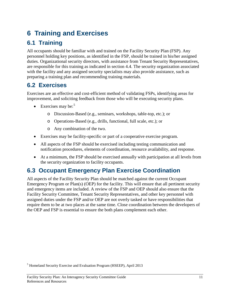# <span id="page-16-0"></span>**6 Training and Exercises**

# <span id="page-16-1"></span>**6.1 Training**

All occupants should be familiar with and trained on the Facility Security Plan (FSP). Any personnel holding key positions, as identified in the FSP, should be trained in his/her assigned duties. Organizational security directors, with assistance from Tenant Security Representatives, are responsible for this training as indicated in section 4.4. The security organization associated with the facility and any assigned security specialists may also provide assistance, such as preparing a training plan and recommending training materials.

### <span id="page-16-2"></span>**6.2 Exercises**

Exercises are an effective and cost-efficient method of validating FSPs, identifying areas for improvement, and soliciting feedback from those who will be executing security plans.

- Exercises may be: $5$ 
	- o Discussion-Based (e.g., seminars, workshops, table-top, etc.); or
	- o Operations-Based (e.g., drills, functional, full scale, etc.); or
	- o Any combination of the two.
- Exercises may be facility-specific or part of a cooperative exercise program.
- All aspects of the FSP should be exercised including testing communication and notification procedures, elements of coordination, resource availability, and response.
- At a minimum, the FSP should be exercised annually with participation at all levels from the security organization to facility occupants.

### <span id="page-16-3"></span>**6.3 Occupant Emergency Plan Exercise Coordination**

All aspects of the Facility Security Plan should be matched against the current Occupant Emergency Program or Plan(s) (OEP) for the facility. This will ensure that all pertinent security and emergency items are included. A review of the FSP and OEP should also ensure that the Facility Security Committee, Tenant Security Representatives, and other key personnel with assigned duties under the FSP and/or OEP are not overly tasked or have responsibilities that require them to be at two places at the same time. Close coordination between the developers of the OEP and FSP is essential to ensure the both plans complement each other.

<span id="page-16-4"></span><sup>5</sup> Homeland Security Exercise and Evaluation Program (HSEEP), April 2013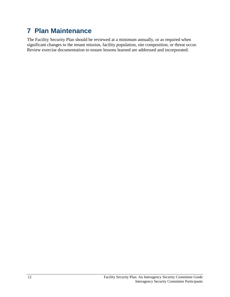# <span id="page-17-0"></span>**7 Plan Maintenance**

The Facility Security Plan should be reviewed at a minimum annually, or as required when significant changes to the tenant mission, facility population, site composition, or threat occur. Review exercise documentation to ensure lessons learned are addressed and incorporated.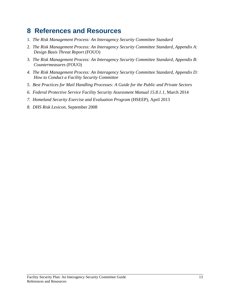# <span id="page-18-0"></span>**8 References and Resources**

- 1. *The Risk Management Process: An Interagency Security Committee Standard*
- 2. *The Risk Management Process: An Interagency Security Committee Standard*, *Appendix A: Design Basis Threat Report* (FOUO)
- 3. *The Risk Management Process: An Interagency Security Committee Standard, Appendix B: Countermeasures* (FOUO)
- *4. The Risk Management Process: An Interagency Security Committee Standard, Appendix D: How to Conduct a Facility Security Committee*
- *5. Best Practices for Mail Handling Processes: A Guide for the Public and Private Sectors*
- *6. Federal Protective Service Facility Security Assessment Manual 15.8.1.1,* March 2014
- *7. Homeland Security Exercise and Evaluation Program* (HSEEP), April 2013
- *8. DHS Risk Lexicon,* September 2008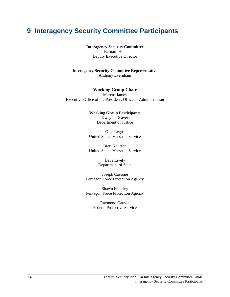# <span id="page-19-0"></span>**9 Interagency Security Committee Participants**

#### **Interagency Security Committee**  Bernard Holt

Deputy Executive Director

#### **Interagency Security Committee Representative**  Anthony Evernham

#### **Working Group Chair**

Marcus James Executive Office of the President, Office of Administration

#### **Working Group Participants**

Dwayne Deaver Department of Justice

Glen Legus United States Marshals Service

Brett Knutson United States Marshals Service

> Dave Lively Department of State

Joseph Cassone Pentagon Force Protection Agency

Shawn Frensley Pentagon Force Protection Agency

> Raymond Gauvin Federal Protective Service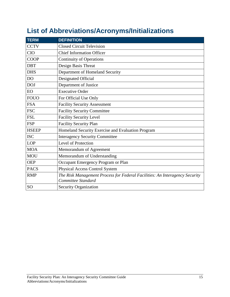<span id="page-20-0"></span>

| <b>List of Abbreviations/Acronyms/Initializations</b> |  |
|-------------------------------------------------------|--|
|-------------------------------------------------------|--|

| <b>TERM</b>  | <b>DEFINITION</b>                                                                                 |
|--------------|---------------------------------------------------------------------------------------------------|
| <b>CCTV</b>  | <b>Closed Circuit Television</b>                                                                  |
| <b>CIO</b>   | <b>Chief Information Officer</b>                                                                  |
| <b>COOP</b>  | <b>Continuity of Operations</b>                                                                   |
| <b>DBT</b>   | Design Basis Threat                                                                               |
| <b>DHS</b>   | Department of Homeland Security                                                                   |
| DO           | Designated Official                                                                               |
| <b>DOJ</b>   | Department of Justice                                                                             |
| EO           | <b>Executive Order</b>                                                                            |
| <b>FOUO</b>  | For Official Use Only                                                                             |
| <b>FSA</b>   | <b>Facility Security Assessment</b>                                                               |
| <b>FSC</b>   | <b>Facility Security Committee</b>                                                                |
| <b>FSL</b>   | <b>Facility Security Level</b>                                                                    |
| <b>FSP</b>   | <b>Facility Security Plan</b>                                                                     |
| <b>HSEEP</b> | Homeland Security Exercise and Evaluation Program                                                 |
| <b>ISC</b>   | <b>Interagency Security Committee</b>                                                             |
| LOP          | Level of Protection                                                                               |
| <b>MOA</b>   | Memorandum of Agreement                                                                           |
| <b>MOU</b>   | Memorandum of Understanding                                                                       |
| <b>OEP</b>   | Occupant Emergency Program or Plan                                                                |
| <b>PACS</b>  | <b>Physical Access Control System</b>                                                             |
| <b>RMP</b>   | The Risk Management Process for Federal Facilities: An Interagency Security<br>Committee Standard |
| <b>SO</b>    | <b>Security Organization</b>                                                                      |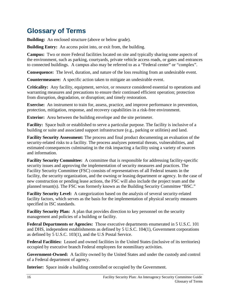# <span id="page-21-0"></span>**Glossary of Terms**

**Building:** An enclosed structure (above or below grade).

**Building Entry:** An access point into, or exit from, the building.

**Campus:** Two or more Federal facilities located on site and typically sharing some aspects of the environment, such as parking, courtyards, private vehicle access roads, or gates and entrances to connected buildings. A campus also may be referred to as a "Federal center" or "complex".

**Consequence:** The level, duration, and nature of the loss resulting from an undesirable event.

**Countermeasure:** A specific action taken to mitigate an undesirable event.

**Criticality:** Any facility, equipment, service, or resource considered essential to operations and warranting measures and precautions to ensure their continued efficient operation; protection from disruption, degradation, or disruption; and timely restoration.

**Exercise:** An instrument to train for, assess, practice, and improve performance in prevention, protection, mitigation, response, and recovery capabilities in a risk-free environment.

**Exterior:** Area between the building envelope and the site perimeter.

**Facility:** Space built or established to serve a particular purpose. The facility is inclusive of a building or suite and associated support infrastructure (e.g., parking or utilities) and land.

**Facility Security Assessment:** The process and final product documenting an evaluation of the security-related risks to a facility. The process analyzes potential threats, vulnerabilities, and estimated consequences culminating in the risk impacting a facility using a variety of sources and information.

**Facility Security Committee:** A committee that is responsible for addressing facility-specific security issues and approving the implementation of security measures and practices. The Facility Security Committee (FSC) consists of representatives of all Federal tenants in the facility, the security organization, and the owning or leasing department or agency. In the case of new construction or pending lease actions, the FSC will also include the project team and the planned tenant(s). The FSC was formerly known as the Building Security Committee "BSC."

**Facility Security Level:** A categorization based on the analysis of several security-related facility factors, which serves as the basis for the implementation of physical security measures specified in ISC standards.

**Facility Security Plan:** A plan that provides direction to key personnel on the security management and policies of a building or facility.

**Federal Departments or Agencies:** Those executive departments enumerated in 5 U.S.C. 101 and DHS, independent establishments as defined by 5 U.S.C. 104(1), Government corporations as defined by 5 U.S.C. 103(1), and the U.S Postal Service.

**Federal Facilities:** Leased and owned facilities in the United States (inclusive of its territories) occupied by executive branch Federal employees for nonmilitary activities.

**Government-Owned:** A facility owned by the United States and under the custody and control of a Federal department of agency.

**Interior:** Space inside a building controlled or occupied by the Government.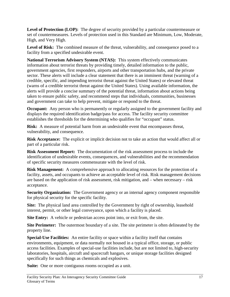**Level of Protection (LOP):** The degree of security provided by a particular countermeasure or set of countermeasures. Levels of protection used in this Standard are Minimum, Low, Moderate, High, and Very High.

**Level of Risk:** The combined measure of the threat, vulnerability, and consequence posed to a facility from a specified undesirable event.

**National Terrorism Advisory System (NTAS):** This system effectively communicates information about terrorist threats by providing timely, detailed information to the public, government agencies, first responders, airports and other transportation hubs, and the private sector. These alerts will include a clear statement that there is an imminent threat (warning of a credible, specific, and impending terrorist threat against the United States) or elevated threat (warns of a credible terrorist threat against the United States). Using available information, the alerts will provide a concise summary of the potential threat, information about actions being taken to ensure public safety, and recommend steps that individuals, communities, businesses and government can take to help prevent, mitigate or respond to the threat.

**Occupant:** Any person who is permanently or regularly assigned to the government facility and displays the required identification badge/pass for access. The facility security committee establishes the thresholds for the determining who qualifies for "occupant" status.

**Risk:** A measure of potential harm from an undesirable event that encompasses threat, vulnerability, and consequence.

**Risk Acceptance:** The explicit or implicit decision not to take an action that would affect all or part of a particular risk.

**Risk Assessment Report:** The documentation of the risk assessment process to include the identification of undesirable events, consequences, and vulnerabilities and the recommendation of specific security measures commensurate with the level of risk.

**Risk Management:** A comprehensive approach to allocating resources for the protection of a facility, assets, and occupants to achieve an acceptable level of risk. Risk management decisions are based on the application of risk assessment, risk mitigation, and – when necessary – risk acceptance.

**Security Organization:** The Government agency or an internal agency component responsible for physical security for the specific facility.

**Site:** The physical land area controlled by the Government by right of ownership, leasehold interest, permit, or other legal conveyance, upon which a facility is placed.

**Site Entry:** A vehicle or pedestrian access point into, or exit from, the site.

**Site Perimeter:** The outermost boundary of a site. The site perimeter is often delineated by the property line.

**Special-Use Facilities:** An entire facility or space within a facility itself that contains environments, equipment, or data normally not housed in a typical office, storage, or public access facilities. Examples of special-use facilities include, but are not limited to, high-security laboratories, hospitals, aircraft and spacecraft hangars, or unique storage facilities designed specifically for such things as chemicals and explosives.

**Suite:** One or more contiguous rooms occupied as a unit.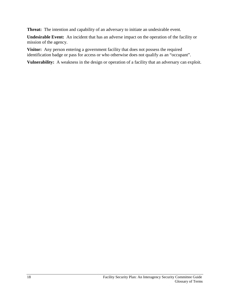**Threat:** The intention and capability of an adversary to initiate an undesirable event.

**Undesirable Event:** An incident that has an adverse impact on the operation of the facility or mission of the agency.

**Visitor:** Any person entering a government facility that does not possess the required identification badge or pass for access or who otherwise does not qualify as an "occupant".

**Vulnerability:** A weakness in the design or operation of a facility that an adversary can exploit.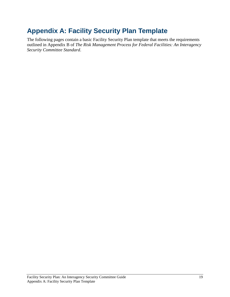# <span id="page-24-0"></span>**Appendix A: Facility Security Plan Template**

The following pages contain a basic Facility Security Plan template that meets the requirements outlined in Appendix B of *The Risk Management Process for Federal Facilities: An Interagency Security Committee Standard*.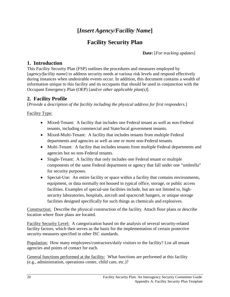### **[***Insert Agency/Facility Name***]**

### **Facility Security Plan**

**Date:** [*For tracking updates*]

#### **1. Introduction**

This Facility Security Plan (FSP) outlines the procedures and measures employed by [*agency/facility name*] to address security needs at various risk levels and respond effectively during instances when undesirable events occur. In addition, this document contains a wealth of information unique to this facility and its occupants that should be used in conjunction with the Occupant Emergency Plan (OEP) [and/*or other applicable plan(s)*].

#### **2. Facility Profile**

[*Provide a description of the facility including the physical address for first responders.*]

Facility Type:

- Mixed-Tenant: A facility that includes one Federal tenant as well as non-Federal tenants, including commercial and State/local government tenants.
- Mixed-Multi-Tenant: A facility that includes tenants from multiple Federal departments and agencies as well as one or more non-Federal tenants.
- Multi-Tenant: A facility that includes tenants from multiple Federal departments and agencies but no non-Federal tenants.
- Single-Tenant: A facility that only includes one Federal tenant or multiple components of the same Federal department or agency that fall under one "umbrella" for security purposes.
- Special-Use: An entire facility or space within a facility that contains environments, equipment, or data normally not housed in typical office, storage, or public access facilities. Examples of special-use facilities include, but are not limited to, highsecurity laboratories, hospitals, aircraft and spacecraft hangers, or unique storage facilities designed specifically for such things as chemicals and explosives.

Construction: Describe the physical construction of the facility. Attach floor plans or describe location where floor plans are located.

Facility Security Level:A categorization based on the analysis of several security-related facility factors, which then serves as the basis for the implementation of certain protective security measures specified in other ISC standards.

Population: How many employees/contractors/daily visitors to the facility? List all tenant agencies and points of contact for each.

General functions performed at the facility: What functions are performed at this facility (e.g., administration, operations center, child care, etc.)?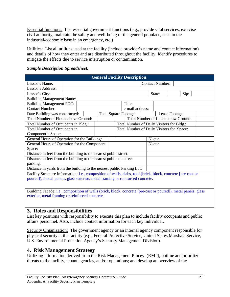Essential functions: List essential government functions (e.g., provide vital services, exercise civil authority, maintain the safety and well-being of the general populace, sustain the industrial/economic base in an emergency, etc.)

Utilities: List all utilities used at the facility (include provider's name and contact information) and details of how they enter and are distributed throughout the facility. Identify procedures to mitigate the effects due to service interruption or contamination.

| <b>General Facility Description:</b>                                                                           |  |                              |        |  |        |                                           |                |        |                        |  |                                      |  |  |
|----------------------------------------------------------------------------------------------------------------|--|------------------------------|--------|--|--------|-------------------------------------------|----------------|--------|------------------------|--|--------------------------------------|--|--|
| Lessor's Name:                                                                                                 |  |                              |        |  |        |                                           |                |        | <b>Contact Number:</b> |  |                                      |  |  |
| Lessor's Address:                                                                                              |  |                              |        |  |        |                                           |                |        |                        |  |                                      |  |  |
| Lessor's City:                                                                                                 |  |                              |        |  |        |                                           |                | State: |                        |  | Zip:                                 |  |  |
| <b>Building Management Name:</b>                                                                               |  |                              |        |  |        |                                           |                |        |                        |  |                                      |  |  |
| <b>Building Management POC:</b>                                                                                |  |                              | Title: |  |        |                                           |                |        |                        |  |                                      |  |  |
| <b>Contact Number:</b>                                                                                         |  | e-mail address:              |        |  |        |                                           |                |        |                        |  |                                      |  |  |
| Date Building was constructed:                                                                                 |  | <b>Total Square Footage:</b> |        |  |        |                                           | Lease Footage: |        |                        |  |                                      |  |  |
| Total Number of Floors above Ground:                                                                           |  |                              |        |  |        |                                           |                |        |                        |  | Total Number of floors below Ground: |  |  |
| Total Number of Occupants in Bldg.:                                                                            |  |                              |        |  |        | Total Number of Daily Visitors for Bldg.: |                |        |                        |  |                                      |  |  |
| Total Number of Occupants in                                                                                   |  |                              |        |  |        | Total Number of Daily Visitors for Space: |                |        |                        |  |                                      |  |  |
| Component's Space:                                                                                             |  |                              |        |  |        |                                           |                |        |                        |  |                                      |  |  |
| General Hours of Operation for the Building:                                                                   |  |                              |        |  | Notes: |                                           |                |        |                        |  |                                      |  |  |
| General Hours of Operation for the Component                                                                   |  |                              |        |  |        |                                           |                |        | Notes:                 |  |                                      |  |  |
| Space:                                                                                                         |  |                              |        |  |        |                                           |                |        |                        |  |                                      |  |  |
| Distance in feet from the building to the nearest public street:                                               |  |                              |        |  |        |                                           |                |        |                        |  |                                      |  |  |
| Distance in feet from the building to the nearest public on-street<br>parking:                                 |  |                              |        |  |        |                                           |                |        |                        |  |                                      |  |  |
| Distance in yards from the building to the nearest public Parking Lot:                                         |  |                              |        |  |        |                                           |                |        |                        |  |                                      |  |  |
| Facility Structure Information: i.e., composition of walls, slabs, roof (brick, block, concrete [pre-cast or   |  |                              |        |  |        |                                           |                |        |                        |  |                                      |  |  |
| poured]), medal panels, glass exterior, metal framing or reinforced concrete.                                  |  |                              |        |  |        |                                           |                |        |                        |  |                                      |  |  |
|                                                                                                                |  |                              |        |  |        |                                           |                |        |                        |  |                                      |  |  |
| Building Facade: i.e., composition of walls (brick, block, concrete [pre-cast or poured]), metal panels, glass |  |                              |        |  |        |                                           |                |        |                        |  |                                      |  |  |
| exterior, metal framing or reinforced concrete.                                                                |  |                              |        |  |        |                                           |                |        |                        |  |                                      |  |  |

#### *Sample Description Spreadsheet:*

#### **3. Roles and Responsibilities**

List key positions with responsibility to execute this plan to include facility occupants and public affairs personnel. Also, include contact information for each key individual.

Security Organization: The government agency or an internal agency component responsible for physical security at the facility (e.g., Federal Protective Service, United States Marshals Service, U.S. Environmental Protection Agency's Security Management Division).

#### **4. Risk Management Strategy**

Utilizing information derived from the Risk Management Process (RMP), outline and prioritize threats to the facility, tenant agencies, and/or operations; and develop an overview of the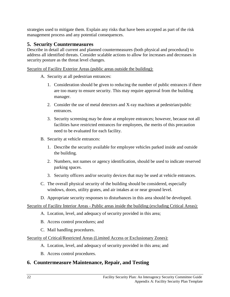strategies used to mitigate them. Explain any risks that have been accepted as part of the risk management process and any potential consequences.

#### **5. Security Countermeasures**

Describe in detail all current and planned countermeasures (both physical and procedural) to address all identified threats. Consider scalable actions to allow for increases and decreases in security posture as the threat level changes.

Security of Facility Exterior Areas (public areas outside the building):

- A. Security at all pedestrian entrances:
	- 1. Consideration should be given to reducing the number of public entrances if there are too many to ensure security. This may require approval from the building manager.
	- 2. Consider the use of metal detectors and X-ray machines at pedestrian/public entrances.
	- 3. Security screening may be done at employee entrances; however, because not all facilities have restricted entrances for employees, the merits of this precaution need to be evaluated for each facility.
- B. Security at vehicle entrances:
	- 1. Describe the security available for employee vehicles parked inside and outside the building.
	- 2. Numbers, not names or agency identification, should be used to indicate reserved parking spaces.
	- 3. Security officers and/or security devices that may be used at vehicle entrances.
- C. The overall physical security of the building should be considered, especially windows, doors, utility grates, and air intakes at or near ground level.
- D. Appropriate security responses to disturbances in this area should be developed.

#### Security of Facility Interior Areas - Public areas inside the building (excluding Critical Areas):

- A. Location, level, and adequacy of security provided in this area;
- B. Access control procedures; and
- C. Mail handling procedures.

#### Security of Critical/Restricted Areas (Limited Access or Exclusionary Zones):

- A. Location, level, and adequacy of security provided in this area; and
- B. Access control procedures.

#### **6. Countermeasure Maintenance, Repair, and Testing**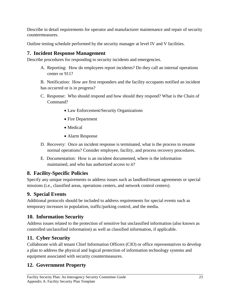Describe in detail requirements for operator and manufacturer maintenance and repair of security countermeasures.

Outline testing schedule performed by the security manager at level IV and V facilities.

### **7. Incident Response Management**

Describe procedures for responding to security incidents and emergencies.

A. Reporting: How do employees report incidents? Do they call an internal operations center or 911?

B. Notification: How are first responders and the facility occupants notified an incident has occurred or is in progress?

- C. Response: Who should respond and how should they respond? What is the Chain of Command?
	- Law Enforcement/Security Organizations
	- Fire Department
	- Medical
	- Alarm Response
- D. Recovery: Once an incident response is terminated, what is the process to resume normal operations? Consider employee, facility, and process recovery procedures.
- E. Documentation: How is an incident documented, where is the information maintained, and who has authorized access to it?

### **8. Facility-Specific Policies**

Specify any unique requirements to address issues such as landlord/tenant agreements or special missions (i.e., classified areas, operations centers, and network control centers).

### **9. Special Events**

Additional protocols should be included to address requirements for special events such as temporary increases in population, traffic/parking control, and the media.

### **10. Information Security**

Address issues related to the protection of sensitive but unclassified information (also known as controlled unclassified information) as well as classified information, if applicable.

### **11. Cyber Security**

Collaborate with all tenant Chief Information Officers (CIO) or office representatives to develop a plan to address the physical and logical protection of information technology systems and equipment associated with security countermeasures.

### **12. Government Property**